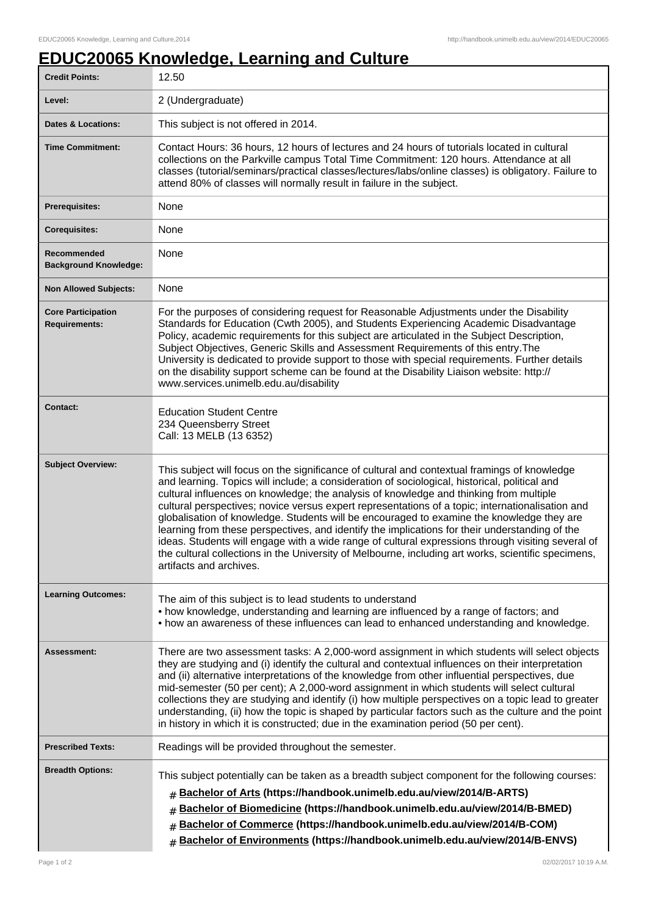## **EDUC20065 Knowledge, Learning and Culture**

| <b>Credit Points:</b>                             | 12.50                                                                                                                                                                                                                                                                                                                                                                                                                                                                                                                                                                                                                                                                                                                                                                                                                             |
|---------------------------------------------------|-----------------------------------------------------------------------------------------------------------------------------------------------------------------------------------------------------------------------------------------------------------------------------------------------------------------------------------------------------------------------------------------------------------------------------------------------------------------------------------------------------------------------------------------------------------------------------------------------------------------------------------------------------------------------------------------------------------------------------------------------------------------------------------------------------------------------------------|
| Level:                                            | 2 (Undergraduate)                                                                                                                                                                                                                                                                                                                                                                                                                                                                                                                                                                                                                                                                                                                                                                                                                 |
| <b>Dates &amp; Locations:</b>                     | This subject is not offered in 2014.                                                                                                                                                                                                                                                                                                                                                                                                                                                                                                                                                                                                                                                                                                                                                                                              |
| <b>Time Commitment:</b>                           | Contact Hours: 36 hours, 12 hours of lectures and 24 hours of tutorials located in cultural<br>collections on the Parkville campus Total Time Commitment: 120 hours. Attendance at all<br>classes (tutorial/seminars/practical classes/lectures/labs/online classes) is obligatory. Failure to<br>attend 80% of classes will normally result in failure in the subject.                                                                                                                                                                                                                                                                                                                                                                                                                                                           |
| <b>Prerequisites:</b>                             | None                                                                                                                                                                                                                                                                                                                                                                                                                                                                                                                                                                                                                                                                                                                                                                                                                              |
| <b>Corequisites:</b>                              | None                                                                                                                                                                                                                                                                                                                                                                                                                                                                                                                                                                                                                                                                                                                                                                                                                              |
| Recommended<br><b>Background Knowledge:</b>       | None                                                                                                                                                                                                                                                                                                                                                                                                                                                                                                                                                                                                                                                                                                                                                                                                                              |
| <b>Non Allowed Subjects:</b>                      | None                                                                                                                                                                                                                                                                                                                                                                                                                                                                                                                                                                                                                                                                                                                                                                                                                              |
| <b>Core Participation</b><br><b>Requirements:</b> | For the purposes of considering request for Reasonable Adjustments under the Disability<br>Standards for Education (Cwth 2005), and Students Experiencing Academic Disadvantage<br>Policy, academic requirements for this subject are articulated in the Subject Description,<br>Subject Objectives, Generic Skills and Assessment Requirements of this entry. The<br>University is dedicated to provide support to those with special requirements. Further details<br>on the disability support scheme can be found at the Disability Liaison website: http://<br>www.services.unimelb.edu.au/disability                                                                                                                                                                                                                        |
| <b>Contact:</b>                                   | <b>Education Student Centre</b><br>234 Queensberry Street<br>Call: 13 MELB (13 6352)                                                                                                                                                                                                                                                                                                                                                                                                                                                                                                                                                                                                                                                                                                                                              |
| <b>Subject Overview:</b>                          | This subject will focus on the significance of cultural and contextual framings of knowledge<br>and learning. Topics will include; a consideration of sociological, historical, political and<br>cultural influences on knowledge; the analysis of knowledge and thinking from multiple<br>cultural perspectives; novice versus expert representations of a topic; internationalisation and<br>globalisation of knowledge. Students will be encouraged to examine the knowledge they are<br>learning from these perspectives, and identify the implications for their understanding of the<br>ideas. Students will engage with a wide range of cultural expressions through visiting several of<br>the cultural collections in the University of Melbourne, including art works, scientific specimens,<br>artifacts and archives. |
| <b>Learning Outcomes:</b>                         | The aim of this subject is to lead students to understand<br>• how knowledge, understanding and learning are influenced by a range of factors; and<br>• how an awareness of these influences can lead to enhanced understanding and knowledge.                                                                                                                                                                                                                                                                                                                                                                                                                                                                                                                                                                                    |
| <b>Assessment:</b>                                | There are two assessment tasks: A 2,000-word assignment in which students will select objects<br>they are studying and (i) identify the cultural and contextual influences on their interpretation<br>and (ii) alternative interpretations of the knowledge from other influential perspectives, due<br>mid-semester (50 per cent); A 2,000-word assignment in which students will select cultural<br>collections they are studying and identify (i) how multiple perspectives on a topic lead to greater<br>understanding, (ii) how the topic is shaped by particular factors such as the culture and the point<br>in history in which it is constructed; due in the examination period (50 per cent).                                                                                                                           |
| <b>Prescribed Texts:</b>                          | Readings will be provided throughout the semester.                                                                                                                                                                                                                                                                                                                                                                                                                                                                                                                                                                                                                                                                                                                                                                                |
| <b>Breadth Options:</b>                           | This subject potentially can be taken as a breadth subject component for the following courses:<br>Bachelor of Arts (https://handbook.unimelb.edu.au/view/2014/B-ARTS)<br>#<br>Bachelor of Biomedicine (https://handbook.unimelb.edu.au/view/2014/B-BMED)<br>#<br>Bachelor of Commerce (https://handbook.unimelb.edu.au/view/2014/B-COM)<br>#<br>Bachelor of Environments (https://handbook.unimelb.edu.au/view/2014/B-ENVS)                                                                                                                                                                                                                                                                                                                                                                                                      |